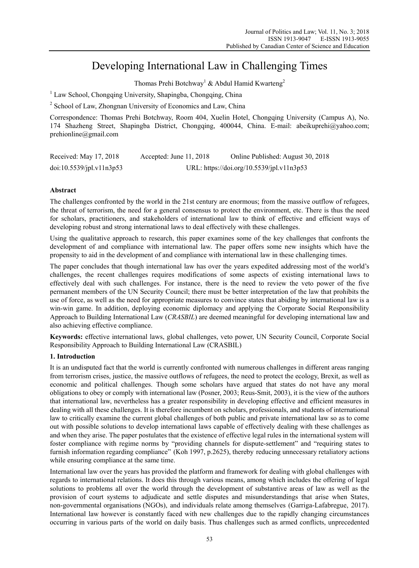# Developing International Law in Challenging Times

Thomas Prehi Botchway<sup>1</sup> & Abdul Hamid Kwarteng<sup>2</sup>

<sup>1</sup> Law School, Chongqing University, Shapingba, Chongqing, China

<sup>2</sup> School of Law, Zhongnan University of Economics and Law, China

Correspondence: Thomas Prehi Botchway, Room 404, Xuelin Hotel, Chongqing University (Campus A), No. 174 Shazheng Street, Shapingba District, Chongqing, 400044, China. E-mail: abeikuprehi@yahoo.com; prehionline@gmail.com

| Received: May 17, 2018   | Accepted: June 11, 2018                   | Online Published: August 30, 2018 |
|--------------------------|-------------------------------------------|-----------------------------------|
| doi:10.5539/jpl.v11n3p53 | URL: https://doi.org/10.5539/jpl.v11n3p53 |                                   |

# **Abstract**

The challenges confronted by the world in the 21st century are enormous; from the massive outflow of refugees, the threat of terrorism, the need for a general consensus to protect the environment, etc. There is thus the need for scholars, practitioners, and stakeholders of international law to think of effective and efficient ways of developing robust and strong international laws to deal effectively with these challenges.

Using the qualitative approach to research, this paper examines some of the key challenges that confronts the development of and compliance with international law. The paper offers some new insights which have the propensity to aid in the development of and compliance with international law in these challenging times.

The paper concludes that though international law has over the years expedited addressing most of the world's challenges, the recent challenges requires modifications of some aspects of existing international laws to effectively deal with such challenges. For instance, there is the need to review the veto power of the five permanent members of the UN Security Council; there must be better interpretation of the law that prohibits the use of force, as well as the need for appropriate measures to convince states that abiding by international law is a win-win game. In addition, deploying economic diplomacy and applying the Corporate Social Responsibility Approach to Building International Law (*CRASBIL*) are deemed meaningful for developing international law and also achieving effective compliance.

**Keywords:** effective international laws, global challenges, veto power, UN Security Council, Corporate Social Responsibility Approach to Building International Law (CRASBIL)

#### **1. Introduction**

It is an undisputed fact that the world is currently confronted with numerous challenges in different areas ranging from terrorism crises, justice, the massive outflows of refugees, the need to protect the ecology, Brexit, as well as economic and political challenges. Though some scholars have argued that states do not have any moral obligations to obey or comply with international law (Posner, 2003; Reus-Smit, 2003), it is the view of the authors that international law, nevertheless has a greater responsibility in developing effective and efficient measures in dealing with all these challenges. It is therefore incumbent on scholars, professionals, and students of international law to critically examine the current global challenges of both public and private international law so as to come out with possible solutions to develop international laws capable of effectively dealing with these challenges as and when they arise. The paper postulates that the existence of effective legal rules in the international system will foster compliance with regime norms by "providing channels for dispute-settlement" and "requiring states to furnish information regarding compliance" (Koh 1997, p.2625), thereby reducing unnecessary retaliatory actions while ensuring compliance at the same time.

International law over the years has provided the platform and framework for dealing with global challenges with regards to international relations. It does this through various means, among which includes the offering of legal solutions to problems all over the world through the development of substantive areas of law as well as the provision of court systems to adjudicate and settle disputes and misunderstandings that arise when States, non-governmental organisations (NGOs), and individuals relate among themselves (Garriga-Lafabregue, 2017). International law however is constantly faced with new challenges due to the rapidly changing circumstances occurring in various parts of the world on daily basis. Thus challenges such as armed conflicts, unprecedented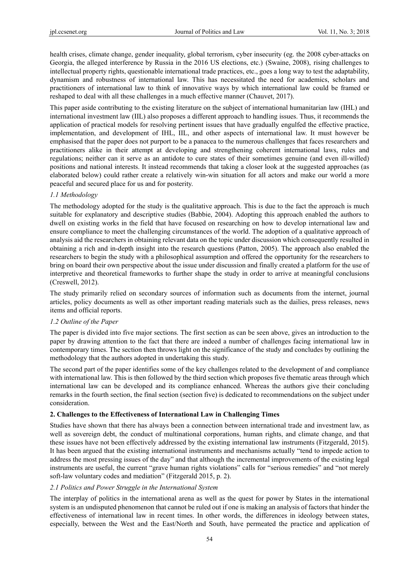health crises, climate change, gender inequality, global terrorism, cyber insecurity (eg. the 2008 cyber-attacks on Georgia, the alleged interference by Russia in the 2016 US elections, etc.) (Swaine, 2008), rising challenges to intellectual property rights, questionable international trade practices, etc., goes a long way to test the adaptability, dynamism and robustness of international law. This has necessitated the need for academics, scholars and practitioners of international law to think of innovative ways by which international law could be framed or reshaped to deal with all these challenges in a much effective manner (Chauvet, 2017).

This paper aside contributing to the existing literature on the subject of international humanitarian law (IHL) and international investment law (IIL) also proposes a different approach to handling issues. Thus, it recommends the application of practical models for resolving pertinent issues that have gradually engulfed the effective practice, implementation, and development of IHL, IIL, and other aspects of international law. It must however be emphasised that the paper does not purport to be a panacea to the numerous challenges that faces researchers and practitioners alike in their attempt at developing and strengthening coherent international laws, rules and regulations; neither can it serve as an antidote to cure states of their sometimes genuine (and even ill-willed) positions and national interests. It instead recommends that taking a closer look at the suggested approaches (as elaborated below) could rather create a relatively win-win situation for all actors and make our world a more peaceful and secured place for us and for posterity.

## *1.1 Methodology*

The methodology adopted for the study is the qualitative approach. This is due to the fact the approach is much suitable for explanatory and descriptive studies (Babbie, 2004). Adopting this approach enabled the authors to dwell on existing works in the field that have focused on researching on how to develop international law and ensure compliance to meet the challenging circumstances of the world. The adoption of a qualitative approach of analysis aid the researchers in obtaining relevant data on the topic under discussion which consequently resulted in obtaining a rich and in-depth insight into the research questions (Patton, 2005). The approach also enabled the researchers to begin the study with a philosophical assumption and offered the opportunity for the researchers to bring on board their own perspective about the issue under discussion and finally created a platform for the use of interpretive and theoretical frameworks to further shape the study in order to arrive at meaningful conclusions (Creswell, 2012).

The study primarily relied on secondary sources of information such as documents from the internet, journal articles, policy documents as well as other important reading materials such as the dailies, press releases, news items and official reports.

#### *1.2 Outline of the Paper*

The paper is divided into five major sections. The first section as can be seen above, gives an introduction to the paper by drawing attention to the fact that there are indeed a number of challenges facing international law in contemporary times. The section then throws light on the significance of the study and concludes by outlining the methodology that the authors adopted in undertaking this study.

The second part of the paper identifies some of the key challenges related to the development of and compliance with international law. This is then followed by the third section which proposes five thematic areas through which international law can be developed and its compliance enhanced. Whereas the authors give their concluding remarks in the fourth section, the final section (section five) is dedicated to recommendations on the subject under consideration.

#### **2. Challenges to the Effectiveness of International Law in Challenging Times**

Studies have shown that there has always been a connection between international trade and investment law, as well as sovereign debt, the conduct of multinational corporations, human rights, and climate change, and that these issues have not been effectively addressed by the existing international law instruments (Fitzgerald, 2015). It has been argued that the existing international instruments and mechanisms actually "tend to impede action to address the most pressing issues of the day" and that although the incremental improvements of the existing legal instruments are useful, the current "grave human rights violations" calls for "serious remedies" and "not merely soft-law voluntary codes and mediation" (Fitzgerald 2015, p. 2).

# *2.1 Politics and Power Struggle in the International System*

The interplay of politics in the international arena as well as the quest for power by States in the international system is an undisputed phenomenon that cannot be ruled out if one is making an analysis of factors that hinder the effectiveness of international law in recent times. In other words, the differences in ideology between states, especially, between the West and the East/North and South, have permeated the practice and application of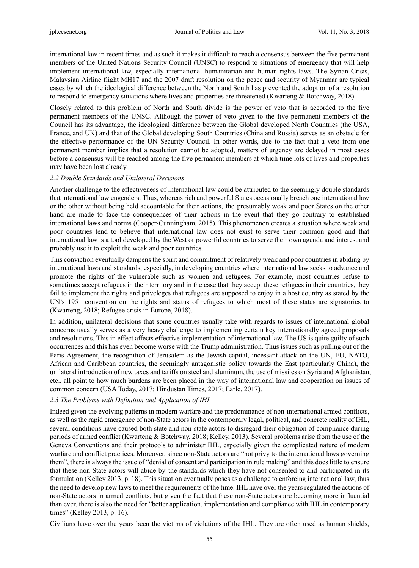international law in recent times and as such it makes it difficult to reach a consensus between the five permanent members of the United Nations Security Council (UNSC) to respond to situations of emergency that will help implement international law, especially international humanitarian and human rights laws. The Syrian Crisis, Malaysian Airline flight MH17 and the 2007 draft resolution on the peace and security of Myanmar are typical cases by which the ideological difference between the North and South has prevented the adoption of a resolution to respond to emergency situations where lives and properties are threatened (Kwarteng & Botchway, 2018).

Closely related to this problem of North and South divide is the power of veto that is accorded to the five permanent members of the UNSC. Although the power of veto given to the five permanent members of the Council has its advantage, the ideological difference between the Global developed North Countries (the USA, France, and UK) and that of the Global developing South Countries (China and Russia) serves as an obstacle for the effective performance of the UN Security Council. In other words, due to the fact that a veto from one permanent member implies that a resolution cannot be adopted, matters of urgency are delayed in most cases before a consensus will be reached among the five permanent members at which time lots of lives and properties may have been lost already.

## *2.2 Double Standards and Unilateral Decisions*

Another challenge to the effectiveness of international law could be attributed to the seemingly double standards that international law engenders. Thus, whereas rich and powerful States occasionally breach one international law or the other without being held accountable for their actions, the presumably weak and poor States on the other hand are made to face the consequences of their actions in the event that they go contrary to established international laws and norms (Cooper-Cunningham, 2015). This phenomenon creates a situation where weak and poor countries tend to believe that international law does not exist to serve their common good and that international law is a tool developed by the West or powerful countries to serve their own agenda and interest and probably use it to exploit the weak and poor countries.

This conviction eventually dampens the spirit and commitment of relatively weak and poor countries in abiding by international laws and standards, especially, in developing countries where international law seeks to advance and promote the rights of the vulnerable such as women and refugees. For example, most countries refuse to sometimes accept refugees in their territory and in the case that they accept these refugees in their countries, they fail to implement the rights and priveleges that refugees are supposed to enjoy in a host country as stated by the UN's 1951 convention on the rights and status of refugees to which most of these states are signatories to (Kwarteng, 2018; Refugee crisis in Europe, 2018).

In addition, unilateral decisions that some countries usually take with regards to issues of international global concerns usually serves as a very heavy challenge to implementing certain key internationally agreed proposals and resolutions. This in effect affects effective implementation of international law. The US is quite guilty of such occurrences and this has even become worse with the Trump administration. Thus issues such as pulling out of the Paris Agreement, the recognition of Jerusalem as the Jewish capital, incessant attack on the UN, EU, NATO, African and Caribbean countries, the seemingly antagonistic policy towards the East (particularly China), the unilateral introduction of new taxes and tariffs on steel and aluminum, the use of missiles on Syria and Afghanistan, etc., all point to how much burdens are been placed in the way of international law and cooperation on issues of common concern (USA Today, 2017; Hindustan Times, 2017; Earle, 2017).

# *2.3 The Problems with Definition and Application of IHL*

Indeed given the evolving patterns in modern warfare and the predominance of non-international armed conflicts, as well as the rapid emergence of non-State actors in the contemporary legal, political, and concrete reality of IHL, several conditions have caused both state and non-state actors to disregard their obligation of compliance during periods of armed conflict (Kwarteng & Botchway, 2018; Kelley, 2013). Several problems arise from the use of the Geneva Conventions and their protocols to administer IHL, especially given the complicated nature of modern warfare and conflict practices. Moreover, since non-State actors are "not privy to the international laws governing them", there is always the issue of "denial of consent and participation in rule making" and this does little to ensure that these non-State actors will abide by the standards which they have not consented to and participated in its formulation (Kelley 2013, p. 18). This situation eventually poses as a challenge to enforcing international law, thus the need to develop new laws to meet the requirements of the time. IHL have over the years regulated the actions of non-State actors in armed conflicts, but given the fact that these non-State actors are becoming more influential than ever, there is also the need for "better application, implementation and compliance with IHL in contemporary times" (Kelley 2013, p. 16).

Civilians have over the years been the victims of violations of the IHL. They are often used as human shields,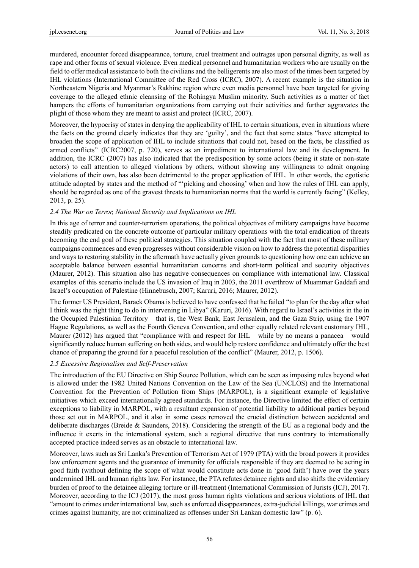murdered, encounter forced disappearance, torture, cruel treatment and outrages upon personal dignity, as well as rape and other forms of sexual violence. Even medical personnel and humanitarian workers who are usually on the field to offer medical assistance to both the civilians and the belligerents are also most of the times been targeted by IHL violations (International Committee of the Red Cross (ICRC), 2007). A recent example is the situation in Northeastern Nigeria and Myanmar's Rakhine region where even media personnel have been targeted for giving coverage to the alleged ethnic cleansing of the Rohingya Muslim minority. Such activities as a matter of fact hampers the efforts of humanitarian organizations from carrying out their activities and further aggravates the plight of those whom they are meant to assist and protect (ICRC, 2007).

Moreover, the hypocrisy of states in denying the applicability of IHL to certain situations, even in situations where the facts on the ground clearly indicates that they are 'guilty', and the fact that some states "have attempted to broaden the scope of application of IHL to include situations that could not, based on the facts, be classified as armed conflicts" (ICRC2007, p. 720), serves as an impediment to international law and its development. In addition, the ICRC (2007) has also indicated that the predisposition by some actors (being it state or non-state actors) to call attention to alleged violations by others, without showing any willingness to admit ongoing violations of their own, has also been detrimental to the proper application of IHL. In other words, the egotistic attitude adopted by states and the method of "'picking and choosing' when and how the rules of IHL can apply, should be regarded as one of the gravest threats to humanitarian norms that the world is currently facing" (Kelley, 2013, p. 25).

## *2.4 The War on Terror, National Security and Implications on IHL*

In this age of terror and counter-terrorism operations, the political objectives of military campaigns have become steadily predicated on the concrete outcome of particular military operations with the total eradication of threats becoming the end goal of these political strategies. This situation coupled with the fact that most of these military campaigns commences and even progresses without considerable vision on how to address the potential disparities and ways to restoring stability in the aftermath have actually given grounds to questioning how one can achieve an acceptable balance between essential humanitarian concerns and short-term political and security objectives (Maurer, 2012). This situation also has negative consequences on compliance with international law. Classical examples of this scenario include the US invasion of Iraq in 2003, the 2011 overthrow of Muammar Gaddafi and Israel's occupation of Palestine (Hinnebusch, 2007; Karuri, 2016; Maurer, 2012).

The former US President, Barack Obama is believed to have confessed that he failed "to plan for the day after what I think was the right thing to do in intervening in Libya" (Karuri, 2016). With regard to Israel's activities in the in the Occupied Palestinian Territory – that is, the West Bank, East Jerusalem, and the Gaza Strip, using the 1907 Hague Regulations, as well as the Fourth Geneva Convention, and other equally related relevant customary IHL, Maurer (2012) has argued that "compliance with and respect for IHL – while by no means a panacea – would significantly reduce human suffering on both sides, and would help restore confidence and ultimately offer the best chance of preparing the ground for a peaceful resolution of the conflict" (Maurer, 2012, p. 1506).

#### *2.5 Excessive Regionalism and Self-Preservation*

The introduction of the EU Directive on Ship Source Pollution, which can be seen as imposing rules beyond what is allowed under the 1982 United Nations Convention on the Law of the Sea (UNCLOS) and the International Convention for the Prevention of Pollution from Ships (MARPOL), is a significant example of legislative initiatives which exceed internationally agreed standards. For instance, the Directive limited the effect of certain exceptions to liability in MARPOL, with a resultant expansion of potential liability to additional parties beyond those set out in MARPOL, and it also in some cases removed the crucial distinction between accidental and deliberate discharges (Breide & Saunders, 2018). Considering the strength of the EU as a regional body and the influence it exerts in the international system, such a regional directive that runs contrary to internationally accepted practice indeed serves as an obstacle to international law.

Moreover, laws such as Sri Lanka's Prevention of Terrorism Act of 1979 (PTA) with the broad powers it provides law enforcement agents and the guarantee of immunity for officials responsible if they are deemed to be acting in good faith (without defining the scope of what would constitute acts done in 'good faith') have over the years undermined IHL and human rights law. For instance, the PTA refutes detainee rights and also shifts the evidentiary burden of proof to the detainee alleging torture or ill-treatment (International Commission of Jurists (ICJ), 2017). Moreover, according to the ICJ (2017), the most gross human rights violations and serious violations of IHL that "amount to crimes under international law, such as enforced disappearances, extra-judicial killings, war crimes and crimes against humanity, are not criminalized as offenses under Sri Lankan domestic law" (p. 6).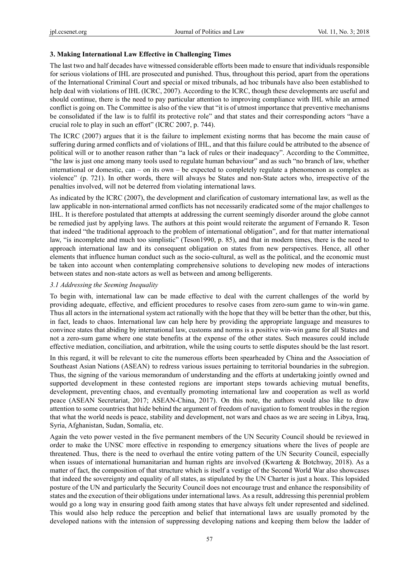#### **3. Making International Law Effective in Challenging Times**

The last two and half decades have witnessed considerable efforts been made to ensure that individuals responsible for serious violations of IHL are prosecuted and punished. Thus, throughout this period, apart from the operations of the International Criminal Court and special or mixed tribunals, ad hoc tribunals have also been established to help deal with violations of IHL (ICRC, 2007). According to the ICRC, though these developments are useful and should continue, there is the need to pay particular attention to improving compliance with IHL while an armed conflict is going on. The Committee is also of the view that "it is of utmost importance that preventive mechanisms be consolidated if the law is to fulfil its protective role" and that states and their corresponding actors "have a crucial role to play in such an effort" (ICRC 2007, p. 744).

The ICRC (2007) argues that it is the failure to implement existing norms that has become the main cause of suffering during armed conflicts and of violations of IHL, and that this failure could be attributed to the absence of political will or to another reason rather than "a lack of rules or their inadequacy". According to the Committee, "the law is just one among many tools used to regulate human behaviour" and as such "no branch of law, whether international or domestic, can – on its own – be expected to completely regulate a phenomenon as complex as violence" (p. 721). In other words, there will always be States and non-State actors who, irrespective of the penalties involved, will not be deterred from violating international laws.

As indicated by the ICRC (2007), the development and clarification of customary international law, as well as the law applicable in non-international armed conflicts has not necessarily eradicated some of the major challenges to IHL. It is therefore postulated that attempts at addressing the current seemingly disorder around the globe cannot be remedied just by applying laws. The authors at this point would reiterate the argument of Fernando R. Teson that indeed "the traditional approach to the problem of international obligation", and for that matter international law, "is incomplete and much too simplistic" (Teson1990, p. 85), and that in modern times, there is the need to approach international law and its consequent obligation on states from new perspectives. Hence, all other elements that influence human conduct such as the socio-cultural, as well as the political, and the economic must be taken into account when contemplating comprehensive solutions to developing new modes of interactions between states and non-state actors as well as between and among belligerents.

#### *3.1 Addressing the Seeming Inequality*

To begin with, international law can be made effective to deal with the current challenges of the world by providing adequate, effective, and efficient procedures to resolve cases from zero-sum game to win-win game. Thus all actors in the international system act rationally with the hope that they will be better than the other, but this, in fact, leads to chaos. International law can help here by providing the appropriate language and measures to convince states that abiding by international law, customs and norms is a positive win-win game for all States and not a zero-sum game where one state benefits at the expense of the other states. Such measures could include effective mediation, conciliation, and arbitration, while the using courts to settle disputes should be the last resort.

In this regard, it will be relevant to cite the numerous efforts been spearheaded by China and the Association of Southeast Asian Nations (ASEAN) to redress various issues pertaining to territorial boundaries in the subregion. Thus, the signing of the various memorandum of understanding and the efforts at undertaking jointly owned and supported development in these contested regions are important steps towards achieving mutual benefits, development, preventing chaos, and eventually promoting international law and cooperation as well as world peace (ASEAN Secretariat, 2017; ASEAN-China, 2017). On this note, the authors would also like to draw attention to some countries that hide behind the argument of freedom of navigation to foment troubles in the region that what the world needs is peace, stability and development, not wars and chaos as we are seeing in Libya, Iraq, Syria, Afghanistan, Sudan, Somalia, etc.

Again the veto power vested in the five permanent members of the UN Security Council should be reviewed in order to make the UNSC more effective in responding to emergency situations where the lives of people are threatened. Thus, there is the need to overhaul the entire voting pattern of the UN Security Council, especially when issues of international humanitarian and human rights are involved (Kwarteng & Botchway, 2018). As a matter of fact, the composition of that structure which is itself a vestige of the Second World War also showcases that indeed the sovereignty and equality of all states, as stipulated by the UN Charter is just a hoax. This lopsided posture of the UN and particularly the Security Council does not encourage trust and enhance the responsibility of states and the execution of their obligations under international laws. As a result, addressing this perennial problem would go a long way in ensuring good faith among states that have always felt under represented and sidelined. This would also help reduce the perception and belief that international laws are usually promoted by the developed nations with the intension of suppressing developing nations and keeping them below the ladder of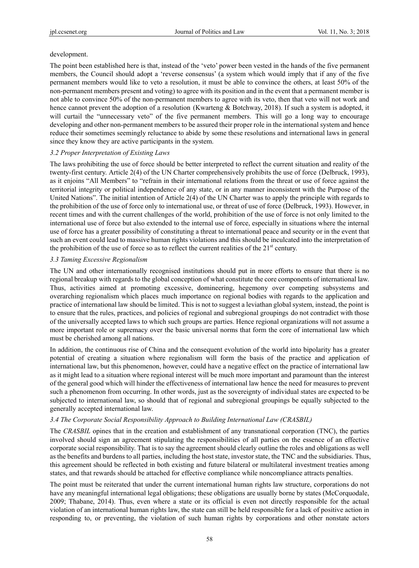#### development.

The point been established here is that, instead of the 'veto' power been vested in the hands of the five permanent members, the Council should adopt a 'reverse consensus' (a system which would imply that if any of the five permanent members would like to veto a resolution, it must be able to convince the others, at least 50% of the non-permanent members present and voting) to agree with its position and in the event that a permanent member is not able to convince 50% of the non-permanent members to agree with its veto, then that veto will not work and hence cannot prevent the adoption of a resolution (Kwarteng & Botchway, 2018). If such a system is adopted, it will curtail the "unnecessary veto" of the five permanent members. This will go a long way to encourage developing and other non-permanent members to be assured their proper role in the international system and hence reduce their sometimes seemingly reluctance to abide by some these resolutions and international laws in general since they know they are active participants in the system.

## *3.2 Proper Interpretation of Existing Laws*

The laws prohibiting the use of force should be better interpreted to reflect the current situation and reality of the twenty-first century. Article 2(4) of the UN Charter comprehensively prohibits the use of force (Delbruck, 1993), as it enjoins "All Members" to "refrain in their international relations from the threat or use of force against the territorial integrity or political independence of any state, or in any manner inconsistent with the Purpose of the United Nations". The initial intention of Article 2(4) of the UN Charter was to apply the principle with regards to the prohibition of the use of force only to international use, or threat of use of force (Delbruck, 1993). However, in recent times and with the current challenges of the world, prohibition of the use of force is not only limited to the international use of force but also extended to the internal use of force, especially in situations where the internal use of force has a greater possibility of constituting a threat to international peace and security or in the event that such an event could lead to massive human rights violations and this should be inculcated into the interpretation of the prohibition of the use of force so as to reflect the current realities of the  $21<sup>st</sup>$  century.

#### *3.3 Taming Excessive Regionalism*

The UN and other internationally recognised institutions should put in more efforts to ensure that there is no regional breakup with regards to the global conception of what constitute the core components of international law. Thus, activities aimed at promoting excessive, domineering, hegemony over competing subsystems and overarching regionalism which places much importance on regional bodies with regards to the application and practice of international law should be limited. This is not to suggest a leviathan global system, instead, the point is to ensure that the rules, practices, and policies of regional and subregional groupings do not contradict with those of the universally accepted laws to which such groups are parties. Hence regional organizations will not assume a more important role or supremacy over the basic universal norms that form the core of international law which must be cherished among all nations.

In addition, the continuous rise of China and the consequent evolution of the world into bipolarity has a greater potential of creating a situation where regionalism will form the basis of the practice and application of international law, but this phenomenon, however, could have a negative effect on the practice of international law as it might lead to a situation where regional interest will be much more important and paramount than the interest of the general good which will hinder the effectiveness of international law hence the need for measures to prevent such a phenomenon from occurring. In other words, just as the sovereignty of individual states are expected to be subjected to international law, so should that of regional and subregional groupings be equally subjected to the generally accepted international law.

# *3.4 The Corporate Social Responsibility Approach to Building International Law (CRASBIL)*

The *CRASBIL* opines that in the creation and establishment of any transnational corporation (TNC), the parties involved should sign an agreement stipulating the responsibilities of all parties on the essence of an effective corporate social responsibility. That is to say the agreement should clearly outline the roles and obligations as well as the benefits and burdens to all parties, including the host state, investor state, the TNC and the subsidiaries. Thus, this agreement should be reflected in both existing and future bilateral or multilateral investment treaties among states, and that rewards should be attached for effective compliance while noncompliance attracts penalties.

The point must be reiterated that under the current international human rights law structure, corporations do not have any meaningful international legal obligations; these obligations are usually borne by states (McCorquodale, 2009; Thabane, 2014). Thus, even where a state or its official is even not directly responsible for the actual violation of an international human rights law, the state can still be held responsible for a lack of positive action in responding to, or preventing, the violation of such human rights by corporations and other nonstate actors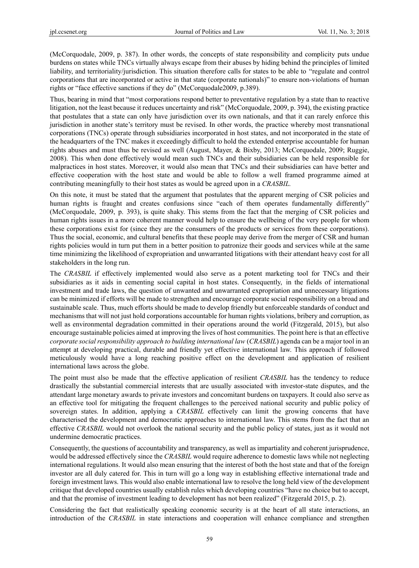(McCorquodale, 2009, p. 387). In other words, the concepts of state responsibility and complicity puts undue burdens on states while TNCs virtually always escape from their abuses by hiding behind the principles of limited liability, and territoriality/jurisdiction. This situation therefore calls for states to be able to "regulate and control corporations that are incorporated or active in that state (corporate nationals)" to ensure non-violations of human rights or "face effective sanctions if they do" (McCorquodale2009, p.389).

Thus, bearing in mind that "most corporations respond better to preventative regulation by a state than to reactive litigation, not the least because it reduces uncertainty and risk" (McCorquodale, 2009, p. 394), the existing practice that postulates that a state can only have jurisdiction over its own nationals, and that it can rarely enforce this jurisdiction in another state's territory must be revised. In other words, the practice whereby most transnational corporations (TNCs) operate through subsidiaries incorporated in host states, and not incorporated in the state of the headquarters of the TNC makes it exceedingly difficult to hold the extended enterprise accountable for human rights abuses and must thus be revised as well (August, Mayer, & Bixby, 2013; McCorquodale, 2009; Ruggie, 2008). This when done effectively would mean such TNCs and their subsidiaries can be held responsible for malpractices in host states. Moreover, it would also mean that TNCs and their subsidiaries can have better and effective cooperation with the host state and would be able to follow a well framed programme aimed at contributing meaningfully to their host states as would be agreed upon in a *CRASBIL.*

On this note, it must be stated that the argument that postulates that the apparent merging of CSR policies and human rights is fraught and creates confusions since "each of them operates fundamentally differently" (McCorquodale, 2009, p. 393), is quite shaky. This stems from the fact that the merging of CSR policies and human rights issues in a more coherent manner would help to ensure the wellbeing of the very people for whom these corporations exist for (since they are the consumers of the products or services from these corporations). Thus the social, economic, and cultural benefits that these people may derive from the merger of CSR and human rights policies would in turn put them in a better position to patronize their goods and services while at the same time minimizing the likelihood of expropriation and unwarranted litigations with their attendant heavy cost for all stakeholders in the long run.

The *CRASBIL* if effectively implemented would also serve as a potent marketing tool for TNCs and their subsidiaries as it aids in cementing social capital in host states. Consequently, in the fields of international investment and trade laws, the question of unwanted and unwarranted expropriation and unnecessary litigations can be minimized if efforts will be made to strengthen and encourage corporate social responsibility on a broad and sustainable scale. Thus, much efforts should be made to develop friendly but enforceable standards of conduct and mechanisms that will not just hold corporations accountable for human rights violations, bribery and corruption, as well as environmental degradation committed in their operations around the world (Fitzgerald, 2015), but also encourage sustainable policies aimed at improving the lives of host communities. The point here is that an effective *corporate social responsibility approach to building international law* (*CRASBIL*) agenda can be a major tool in an attempt at developing practical, durable and friendly yet effective international law. This approach if followed meticulously would have a long reaching positive effect on the development and application of resilient international laws across the globe.

The point must also be made that the effective application of resilient *CRASBIL* has the tendency to reduce drastically the substantial commercial interests that are usually associated with investor-state disputes, and the attendant large monetary awards to private investors and concomitant burdens on taxpayers. It could also serve as an effective tool for mitigating the frequent challenges to the perceived national security and public policy of sovereign states. In addition, applying a *CRASBIL* effectively can limit the growing concerns that have characterised the development and democratic approaches to international law. This stems from the fact that an effective *CRASBIL* would not overlook the national security and the public policy of states, just as it would not undermine democratic practices.

Consequently, the questions of accountability and transparency, as well as impartiality and coherent jurisprudence, would be addressed effectively since the *CRASBIL* would require adherence to domestic laws while not neglecting international regulations. It would also mean ensuring that the interest of both the host state and that of the foreign investor are all duly catered for. This in turn will go a long way in establishing effective international trade and foreign investment laws. This would also enable international law to resolve the long held view of the development critique that developed countries usually establish rules which developing countries "have no choice but to accept, and that the promise of investment leading to development has not been realized" (Fitzgerald 2015, p. 2).

Considering the fact that realistically speaking economic security is at the heart of all state interactions, an introduction of the *CRASBIL* in state interactions and cooperation will enhance compliance and strengthen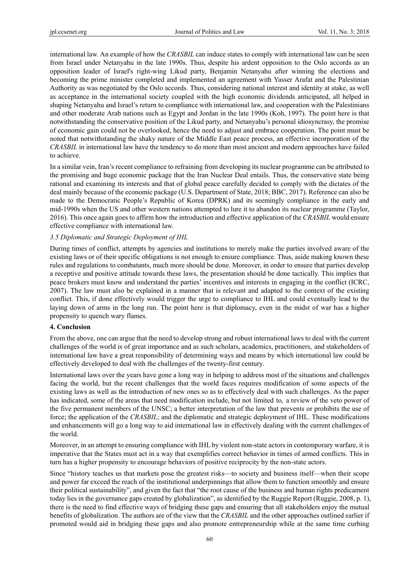international law. An example of how the *CRASBIL* can induce states to comply with international law can be seen from Israel under Netanyahu in the late 1990s. Thus, despite his ardent opposition to the Oslo accords as an opposition leader of Israel's right-wing Likud party, Benjamin Netanyahu after winning the elections and becoming the prime minister completed and implemented an agreement with Yasser Arafat and the Palestinian Authority as was negotiated by the Oslo accords. Thus, considering national interest and identity at stake, as well as acceptance in the international society coupled with the high economic dividends anticipated, all helped in shaping Netanyahu and Israel's return to compliance with international law, and cooperation with the Palestinians and other moderate Arab nations such as Egypt and Jordan in the late 1990s (Koh, 1997). The point here is that notwithstanding the conservative position of the Likud party, and Netanyahu's personal idiosyncrasy, the promise of economic gain could not be overlooked, hence the need to adjust and embrace cooperation. The point must be noted that notwithstanding the shaky nature of the Middle East peace process, an effective incorporation of the *CRASBIL* in international law have the tendency to do more than most ancient and modern approaches have failed to achieve.

In a similar vein, Iran's recent compliance to refraining from developing its nuclear programme can be attributed to the promising and huge economic package that the Iran Nuclear Deal entails. Thus, the conservative state being rational and examining its interests and that of global peace carefully decided to comply with the dictates of the deal mainly because of the economic package (U.S. Department of State, 2018; BBC, 2017). Reference can also be made to the Democratic People's Republic of Korea (DPRK) and its seemingly compliance in the early and mid-1990s when the US and other western nations attempted to lure it to abandon its nuclear programme (Taylor, 2016). This once again goes to affirm how the introduction and effective application of the *CRASBIL* would ensure effective compliance with international law.

## *3.5 Diplomatic and Strategic Deployment of IHL*

During times of conflict, attempts by agencies and institutions to merely make the parties involved aware of the existing laws or of their specific obligations is not enough to ensure compliance. Thus, aside making known these rules and regulations to combatants, much more should be done. Moreover, in order to ensure that parties develop a receptive and positive attitude towards these laws, the presentation should be done tactically. This implies that peace brokers must know and understand the parties' incentives and interests in engaging in the conflict (ICRC, 2007). The law must also be explained in a manner that is relevant and adapted to the context of the existing conflict. This, if done effectively would trigger the urge to compliance to IHL and could eventually lead to the laying down of arms in the long run. The point here is that diplomacy, even in the midst of war has a higher propensity to quench wary flames.

#### **4. Conclusion**

From the above, one can argue that the need to develop strong and robust international laws to deal with the current challenges of the world is of great importance and as such scholars, academics, practitioners, and stakeholders of international law have a great responsibility of determining ways and means by which international law could be effectively developed to deal with the challenges of the twenty-first century.

International laws over the years have gone a long way in helping to address most of the situations and challenges facing the world, but the recent challenges that the world faces requires modification of some aspects of the existing laws as well as the introduction of new ones so as to effectively deal with such challenges. As the paper has indicated, some of the areas that need modification include, but not limited to, a review of the veto power of the five permanent members of the UNSC; a better interpretation of the law that prevents or prohibits the use of force; the application of the *CRASBIL*; and the diplomatic and strategic deployment of IHL. These modifications and enhancements will go a long way to aid international law in effectively dealing with the current challenges of the world.

Moreover, in an attempt to ensuring compliance with IHL by violent non-state actors in contemporary warfare, it is imperative that the States must act in a way that exemplifies correct behavior in times of armed conflicts. This in turn has a higher propensity to encourage behaviors of positive reciprocity by the non-state actors.

Since "history teaches us that markets pose the greatest risks—to society and business itself—when their scope and power far exceed the reach of the institutional underpinnings that allow them to function smoothly and ensure their political sustainability", and given the fact that "the root cause of the business and human rights predicament today lies in the governance gaps created by globalization", as identified by the Ruggie Report (Ruggie, 2008, p. 1), there is the need to find effective ways of bridging these gaps and ensuring that all stakeholders enjoy the mutual benefits of globalization. The authors are of the view that the *CRASBIL* and the other approaches outlined earlier if promoted would aid in bridging these gaps and also promote entrepreneurship while at the same time curbing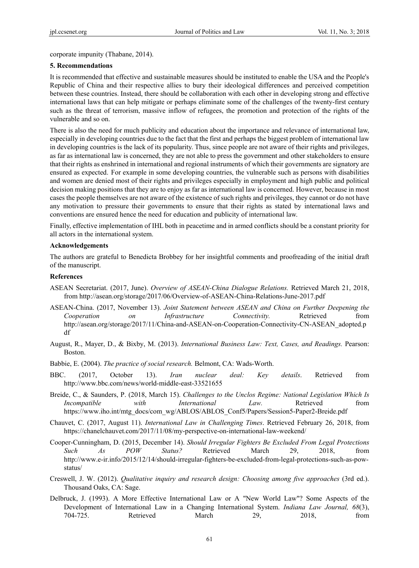corporate impunity (Thabane, 2014).

#### **5. Recommendations**

It is recommended that effective and sustainable measures should be instituted to enable the USA and the People's Republic of China and their respective allies to bury their ideological differences and perceived competition between these countries. Instead, there should be collaboration with each other in developing strong and effective international laws that can help mitigate or perhaps eliminate some of the challenges of the twenty-first century such as the threat of terrorism, massive inflow of refugees, the promotion and protection of the rights of the vulnerable and so on.

There is also the need for much publicity and education about the importance and relevance of international law, especially in developing countries due to the fact that the first and perhaps the biggest problem of international law in developing countries is the lack of its popularity. Thus, since people are not aware of their rights and privileges, as far as international law is concerned, they are not able to press the government and other stakeholders to ensure that their rights as enshrined in international and regional instruments of which their governments are signatory are ensured as expected. For example in some developing countries, the vulnerable such as persons with disabilities and women are denied most of their rights and privileges especially in employment and high public and political decision making positions that they are to enjoy as far as international law is concerned. However, because in most cases the people themselves are not aware of the existence of such rights and privileges, they cannot or do not have any motivation to pressure their governments to ensure that their rights as stated by international laws and conventions are ensured hence the need for education and publicity of international law.

Finally, effective implementation of IHL both in peacetime and in armed conflicts should be a constant priority for all actors in the international system.

#### **Acknowledgements**

The authors are grateful to Benedicta Brobbey for her insightful comments and proofreading of the initial draft of the manuscript.

#### **References**

- ASEAN Secretariat. (2017, June). *Overview of ASEAN-China Dialogue Relations.* Retrieved March 21, 2018, from http://asean.org/storage/2017/06/Overview-of-ASEAN-China-Relations-June-2017.pdf
- ASEAN-China. (2017, November 13). *Joint Statement between ASEAN and China on Further Deepening the Cooperation on Infrastructure Connectivity.* Retrieved from http://asean.org/storage/2017/11/China-and-ASEAN-on-Cooperation-Connectivity-CN-ASEAN\_adopted.p df
- August, R., Mayer, D., & Bixby, M. (2013). *International Business Law: Text, Cases, and Readings.* Pearson: Boston.
- Babbie, E. (2004). *The practice of social research.* Belmont, CA: Wads-Worth.
- BBC. (2017, October 13). *Iran nuclear deal: Key details*. Retrieved from http://www.bbc.com/news/world-middle-east-33521655
- Breide, C., & Saunders, P. (2018, March 15). *Challenges to the Unclos Regime: National Legislation Which Is Incompatible with International Law.* Retrieved from https://www.iho.int/mtg\_docs/com\_wg/ABLOS/ABLOS\_Conf5/Papers/Session5-Paper2-Breide.pdf
- Chauvet, C. (2017, August 11). *International Law in Challenging Times*. Retrieved February 26, 2018, from https://chanelchauvet.com/2017/11/08/my-perspective-on-international-law-weekend/
- Cooper-Cunningham, D. (2015, December 14). *Should Irregular Fighters Be Excluded From Legal Protections Such As POW Status?* Retrieved March 29, 2018, from http://www.e-ir.info/2015/12/14/should-irregular-fighters-be-excluded-from-legal-protections-such-as-powstatus/
- Creswell, J. W. (2012). *Qualitative inquiry and research design: Choosing among five approaches* (3rd ed.). Thousand Oaks, CA: Sage.
- Delbruck, J. (1993). A More Effective International Law or A "New World Law"? Some Aspects of the Development of International Law in a Changing International System. *Indiana Law Journal, 68*(3), 704-725. Retrieved March 29, 2018, from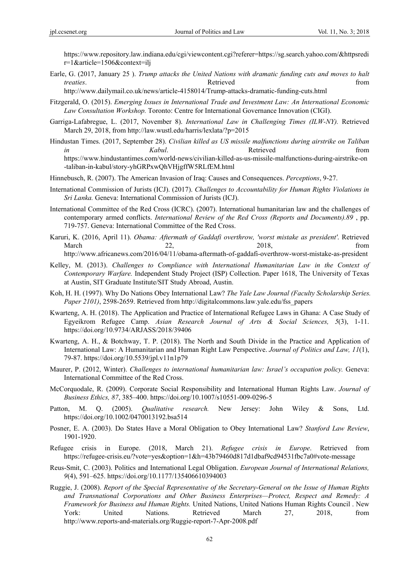https://www.repository.law.indiana.edu/cgi/viewcontent.cgi?referer=https://sg.search.yahoo.com/&httpsredi r=1&article=1506&context=ilj

Earle, G. (2017, January 25 ). *Trump attacks the United Nations with dramatic funding cuts and moves to halt treaties*. **and the contract of the contract of the Retrieved from**  $R$ 

http://www.dailymail.co.uk/news/article-4158014/Trump-attacks-dramatic-funding-cuts.html

- Fitzgerald, O. (2015). *Emerging Issues in International Trade and Investment Law: An International Economic Law Consultation Workshop.* Toronto: Centre for International Governance Innovation (CIGI).
- Garriga-Lafabregue, L. (2017, November 8). *International Law in Challenging Times (ILW-NY).* Retrieved March 29, 2018, from http://law.wustl.edu/harris/lexlata/?p=2015
- Hindustan Times. (2017, September 28). *Civilian killed as US missile malfunctions during airstrike on Taliban in Kabul*. **Retrieved** *Retrieved from* https://www.hindustantimes.com/world-news/civilian-killed-as-us-missile-malfunctions-during-airstrike-on -taliban-in-kabul/story-yhGRPxwQhVHjgffW5RLfEM.html
- Hinnebusch, R. (2007). The American Invasion of Iraq: Causes and Consequences. *Perceptions*, 9-27.
- International Commission of Jurists (ICJ). (2017). *Challenges to Accountability for Human Rights Violations in Sri Lanka.* Geneva: International Commission of Jurists (ICJ).
- International Committee of the Red Cross (ICRC). (2007). International humanitarian law and the challenges of contemporary armed conflicts. *International Review of the Red Cross (Reports and Documents).89* , pp. 719-757. Geneva: International Committee of the Red Cross.
- Karuri, K. (2016, April 11). *Obama: Aftermath of Gaddafi overthrow, 'worst mistake as president'*. Retrieved March 22, 2018, from http://www.africanews.com/2016/04/11/obama-aftermath-of-gaddafi-overthrow-worst-mistake-as-president
- Kelley, M. (2013). *Challenges to Compliance with International Humanitarian Law in the Context of Contemporary Warfare.* Independent Study Project (ISP) Collection. Paper 1618, The University of Texas at Austin, SIT Graduate Institute/SIT Study Abroad, Austin.
- Koh, H. H. (1997). Why Do Nations Obey International Law? *The Yale Law Journal (Faculty Scholarship Series. Paper 2101)*, 2598-2659. Retrieved from http://digitalcommons.law.yale.edu/fss\_papers
- Kwarteng, A. H. (2018). The Application and Practice of International Refugee Laws in Ghana: A Case Study of Egyeikrom Refugee Camp. *Asian Research Journal of Arts & Social Sciences, 5*(3), 1-11. https://doi.org/10.9734/ARJASS/2018/39406
- Kwarteng, A. H., & Botchway, T. P. (2018). The North and South Divide in the Practice and Application of International Law: A Humanitarian and Human Right Law Perspective. *Journal of Politics and Law, 11*(1), 79-87. https://doi.org/10.5539/jpl.v11n1p79
- Maurer, P. (2012, Winter). *Challenges to international humanitarian law: Israel's occupation policy.* Geneva: International Committee of the Red Cross.
- McCorquodale, R. (2009). Corporate Social Responsibility and International Human Rights Law. *Journal of Business Ethics, 87*, 385–400. https://doi.org/10.1007/s10551-009-0296-5
- Patton, M. Q. (2005). *Qualitative research.* New Jersey: John Wiley & Sons, Ltd. https://doi.org/10.1002/0470013192.bsa514
- Posner, E. A. (2003). Do States Have a Moral Obligation to Obey International Law? *Stanford Law Review*, 1901-1920.
- Refugee crisis in Europe. (2018, March 21). *Refugee crisis in Europe*. Retrieved from https://refugee-crisis.eu/?vote=yes&option=1&h=43b79460d817d1dbaf9cd94531fbc7a0#vote-message
- Reus-Smit, C. (2003). Politics and International Legal Obligation. *European Journal of International Relations, 9*(4), 591–625. https://doi.org/10.1177/135406610394003
- Ruggie, J. (2008). *Report of the Special Representative of the Secretary-General on the Issue of Human Rights and Transnational Corporations and Other Business Enterprises—Protect, Respect and Remedy: A Framework for Business and Human Rights.* United Nations, United Nations Human Rights Council . New York: United Nations. Retrieved March 27, 2018, from http://www.reports-and-materials.org/Ruggie-report-7-Apr-2008.pdf